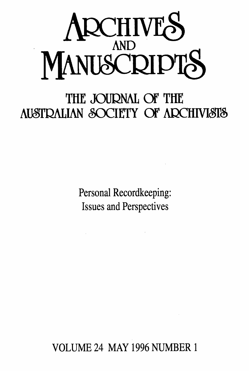

# **THE JOURNAL Of THE AUSTRALIAN SOCIETY OF ARCHIVISTS**

Personal Recordkeeping: Issues and Perspectives

VOLUME 24 MAY 1996 NUMBER <sup>1</sup>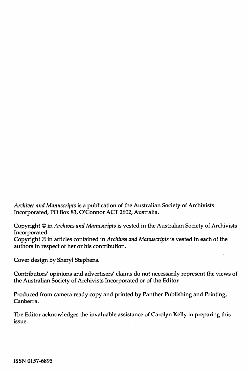*Archives and Manuscripts* is a publication of the Australian Society of Archivists Incorporated, PO Box 83, O'Connor ACT 2602, Australia.

Copyright © in *Archives and Manuscripts* is vested in the Australian Society of Archivists Incorporated.

Copyright © in articles contained in *Archives and Manuscripts* is vested in each of the authors in respect of her or his contribution.

Cover design by Sheryl Stephens.

Contributors' opinions and advertisers' claims do not necessarily represent the views of the Australian Society of Archivists Incorporated or of the Editor.

Produced from camera ready copy and printed by Panther Publishing and Printing, Canberra.

The Editor acknowledges the invaluable assistance of Carolyn Kelly in preparing this issue.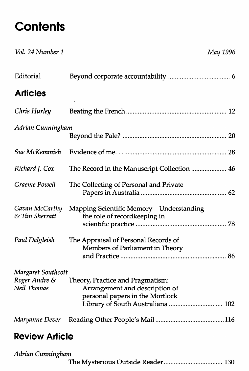## **Contents**

| Vol. 24 Number 1                   | May 1996                                                                                                                                   |
|------------------------------------|--------------------------------------------------------------------------------------------------------------------------------------------|
| Editorial                          |                                                                                                                                            |
| <b>Articles</b>                    |                                                                                                                                            |
| Chris Hurley                       |                                                                                                                                            |
| Adrian Cunningham                  |                                                                                                                                            |
| Sue McKemmish                      |                                                                                                                                            |
| Richard J. Cox                     | The Record in the Manuscript Collection  46                                                                                                |
| Graeme Powell                      | The Collecting of Personal and Private                                                                                                     |
| Gavan McCarthy<br>$&$ Tim Sherratt | Mapping Scientific Memory-Understanding<br>the role of recordkeeping in                                                                    |
| Paul Dalgleish                     | The Appraisal of Personal Records of<br>Members of Parliament in Theory                                                                    |
| Margaret Southcott                 |                                                                                                                                            |
| Roger Andre &<br>Neil Thomas       | Theory, Practice and Pragmatism:<br>Arrangement and description of<br>personal papers in the Mortlock<br>Library of South Australiana  102 |
| Maryanne Dever                     |                                                                                                                                            |
|                                    |                                                                                                                                            |

#### **Review Article**

| Adrian Cunningham |  |
|-------------------|--|
|                   |  |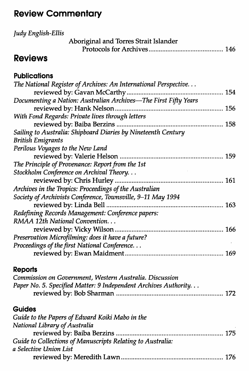### **Review Commentary**

| Judy English-Ellis                                               |
|------------------------------------------------------------------|
| Aboriginal and Torres Strait Islander                            |
| <b>Reviews</b>                                                   |
|                                                                  |
| <b>Publications</b>                                              |
| The National Register of Archives: An International Perspective  |
|                                                                  |
| Documenting a Nation: Australian Archives—The First Fifty Years  |
|                                                                  |
| With Fond Regards: Private lives through letters                 |
|                                                                  |
| Sailing to Australia: Shipboard Diaries by Nineteenth Century    |
| <b>British Emigrants</b>                                         |
| Perilous Voyages to the New Land                                 |
|                                                                  |
| The Principle of Provenance: Report from the 1st                 |
| Stockholm Conference on Archival Theory                          |
|                                                                  |
| Archives in the Tropics: Proceedings of the Australian           |
| Society of Archivists Conference, Townsville, 9-11 May 1994      |
| reviewed by: Linda Bell                                          |
| Redefining Records Management: Conference papers:                |
| RMAA 12th National Convention                                    |
|                                                                  |
| Preservation Microfilming: does it have a future?                |
| Proceedings of the first National Conference                     |
|                                                                  |
| Reports                                                          |
| Commission on Government, Western Australia. Discussion          |
| Paper No. 5. Specified Matter: 9 Independent Archives Authority. |
|                                                                  |

#### **Guides**

| Guide to the Papers of Edward Koiki Mabo in the            |  |
|------------------------------------------------------------|--|
| National Library of Australia                              |  |
|                                                            |  |
| Guide to Collections of Manuscripts Relating to Australia: |  |
| a Selective Union List                                     |  |
|                                                            |  |